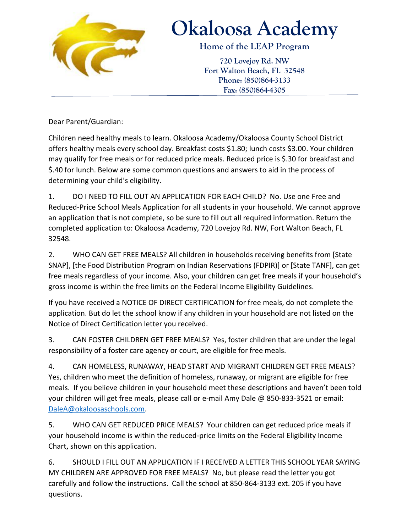

## **Okaloosa Academy**

**Home of the LEAP Program**

**720 Lovejoy Rd. NW Fort Walton Beach, FL 32548 Phone: (850)864-3133 Fax: (850)864-4305**

Dear Parent/Guardian:

Children need healthy meals to learn. Okaloosa Academy/Okaloosa County School District offers healthy meals every school day. Breakfast costs \$1.80; lunch costs \$3.00. Your children may qualify for free meals or for reduced price meals. Reduced price is \$.30 for breakfast and \$.40 for lunch. Below are some common questions and answers to aid in the process of determining your child's eligibility.

1. DO I NEED TO FILL OUT AN APPLICATION FOR EACH CHILD? No. Use one Free and Reduced-Price School Meals Application for all students in your household. We cannot approve an application that is not complete, so be sure to fill out all required information. Return the completed application to: Okaloosa Academy, 720 Lovejoy Rd. NW, Fort Walton Beach, FL 32548.

2. WHO CAN GET FREE MEALS? All children in households receiving benefits from [State SNAP], [the Food Distribution Program on Indian Reservations (FDPIR)] or [State TANF], can get free meals regardless of your income. Also, your children can get free meals if your household's gross income is within the free limits on the Federal Income Eligibility Guidelines.

If you have received a NOTICE OF DIRECT CERTIFICATION for free meals, do not complete the application. But do let the school know if any children in your household are not listed on the Notice of Direct Certification letter you received.

3. CAN FOSTER CHILDREN GET FREE MEALS? Yes, foster children that are under the legal responsibility of a foster care agency or court, are eligible for free meals.

4. CAN HOMELESS, RUNAWAY, HEAD START AND MIGRANT CHILDREN GET FREE MEALS? Yes, children who meet the definition of homeless, runaway, or migrant are eligible for free meals. If you believe children in your household meet these descriptions and haven't been told your children will get free meals, please call or e-mail Amy Dale @ 850-833-3521 or email: [DaleA@okaloosaschools.com.](mailto:DaleA@okaloosaschools.com)

5. WHO CAN GET REDUCED PRICE MEALS? Your children can get reduced price meals if your household income is within the reduced-price limits on the Federal Eligibility Income Chart, shown on this application.

6. SHOULD I FILL OUT AN APPLICATION IF I RECEIVED A LETTER THIS SCHOOL YEAR SAYING MY CHILDREN ARE APPROVED FOR FREE MEALS? No, but please read the letter you got carefully and follow the instructions. Call the school at 850-864-3133 ext. 205 if you have questions.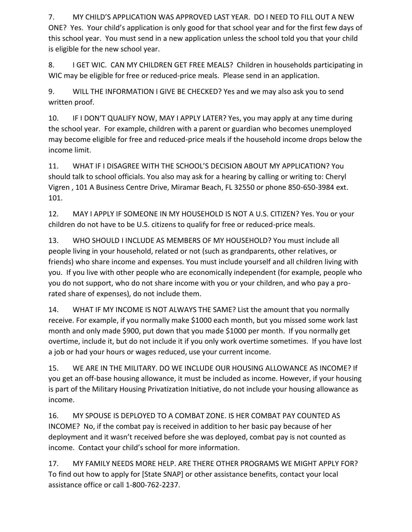7. MY CHILD'S APPLICATION WAS APPROVED LAST YEAR. DO I NEED TO FILL OUT A NEW ONE? Yes. Your child's application is only good for that school year and for the first few days of this school year. You must send in a new application unless the school told you that your child is eligible for the new school year.

8. I GET WIC. CAN MY CHILDREN GET FREE MEALS? Children in households participating in WIC may be eligible for free or reduced-price meals. Please send in an application.

9. WILL THE INFORMATION I GIVE BE CHECKED? Yes and we may also ask you to send written proof.

10. IF I DON'T QUALIFY NOW, MAY I APPLY LATER? Yes, you may apply at any time during the school year. For example, children with a parent or guardian who becomes unemployed may become eligible for free and reduced-price meals if the household income drops below the income limit.

11. WHAT IF I DISAGREE WITH THE SCHOOL'S DECISION ABOUT MY APPLICATION? You should talk to school officials. You also may ask for a hearing by calling or writing to: Cheryl Vigren , 101 A Business Centre Drive, Miramar Beach, FL 32550 or phone 850-650-3984 ext. 101.

12. MAY I APPLY IF SOMEONE IN MY HOUSEHOLD IS NOT A U.S. CITIZEN? Yes. You or your children do not have to be U.S. citizens to qualify for free or reduced-price meals.

13. WHO SHOULD I INCLUDE AS MEMBERS OF MY HOUSEHOLD? You must include all people living in your household, related or not (such as grandparents, other relatives, or friends) who share income and expenses. You must include yourself and all children living with you. If you live with other people who are economically independent (for example, people who you do not support, who do not share income with you or your children, and who pay a prorated share of expenses), do not include them.

14. WHAT IF MY INCOME IS NOT ALWAYS THE SAME? List the amount that you normally receive. For example, if you normally make \$1000 each month, but you missed some work last month and only made \$900, put down that you made \$1000 per month. If you normally get overtime, include it, but do not include it if you only work overtime sometimes. If you have lost a job or had your hours or wages reduced, use your current income.

15. WE ARE IN THE MILITARY. DO WE INCLUDE OUR HOUSING ALLOWANCE AS INCOME? If you get an off-base housing allowance, it must be included as income. However, if your housing is part of the Military Housing Privatization Initiative, do not include your housing allowance as income.

16. MY SPOUSE IS DEPLOYED TO A COMBAT ZONE. IS HER COMBAT PAY COUNTED AS INCOME? No, if the combat pay is received in addition to her basic pay because of her deployment and it wasn't received before she was deployed, combat pay is not counted as income. Contact your child's school for more information.

17. MY FAMILY NEEDS MORE HELP. ARE THERE OTHER PROGRAMS WE MIGHT APPLY FOR? To find out how to apply for [State SNAP] or other assistance benefits, contact your local assistance office or call 1-800-762-2237.